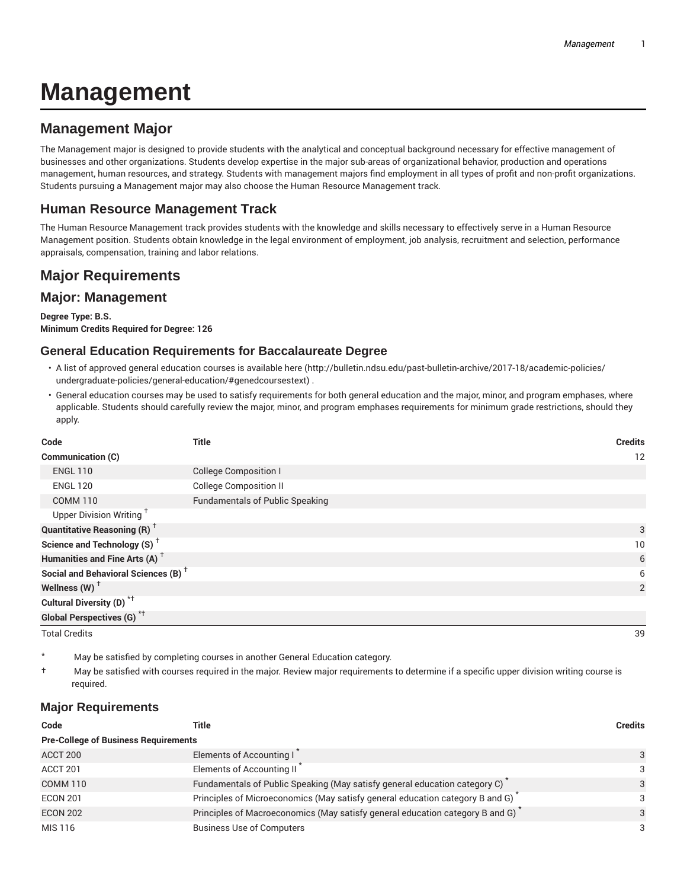# **Management**

## **Management Major**

The Management major is designed to provide students with the analytical and conceptual background necessary for effective management of businesses and other organizations. Students develop expertise in the major sub-areas of organizational behavior, production and operations management, human resources, and strategy. Students with management majors find employment in all types of profit and non-profit organizations. Students pursuing a Management major may also choose the Human Resource Management track.

## **Human Resource Management Track**

The Human Resource Management track provides students with the knowledge and skills necessary to effectively serve in a Human Resource Management position. Students obtain knowledge in the legal environment of employment, job analysis, recruitment and selection, performance appraisals, compensation, training and labor relations.

# **Major Requirements**

## **Major: Management**

**Degree Type: B.S. Minimum Credits Required for Degree: 126**

### **General Education Requirements for Baccalaureate Degree**

- A list of approved general education courses is available here (http://bulletin.ndsu.edu/past-bulletin-archive/2017-18/academic-policies/ undergraduate-policies/general-education/#genedcoursestext) .
- General education courses may be used to satisfy requirements for both general education and the major, minor, and program emphases, where applicable. Students should carefully review the major, minor, and program emphases requirements for minimum grade restrictions, should they apply.

| Code                                            | <b>Title</b>                           | <b>Credits</b> |
|-------------------------------------------------|----------------------------------------|----------------|
| Communication (C)                               |                                        | 12             |
| <b>ENGL 110</b>                                 | <b>College Composition I</b>           |                |
| <b>ENGL 120</b>                                 | <b>College Composition II</b>          |                |
| <b>COMM 110</b>                                 | <b>Fundamentals of Public Speaking</b> |                |
| Upper Division Writing <sup>+</sup>             |                                        |                |
| <b>Quantitative Reasoning (R)</b> <sup>†</sup>  |                                        | 3              |
| Science and Technology (S) <sup>+</sup>         |                                        | 10             |
| Humanities and Fine Arts (A) <sup>+</sup>       |                                        | 6              |
| Social and Behavioral Sciences (B) <sup>+</sup> |                                        | 6              |
| Wellness (W) $^{\dagger}$                       |                                        | 2              |
| Cultural Diversity (D) <sup>*†</sup>            |                                        |                |
| <b>Global Perspectives (G)</b> <sup>*†</sup>    |                                        |                |
| <b>Total Credits</b>                            |                                        | 39             |

- May be satisfied by completing courses in another General Education category.
- † May be satisfied with courses required in the major. Review major requirements to determine if a specific upper division writing course is required.

### **Major Requirements**

| Code                                        | Title                                                                         | <b>Credits</b> |
|---------------------------------------------|-------------------------------------------------------------------------------|----------------|
| <b>Pre-College of Business Requirements</b> |                                                                               |                |
| ACCT 200                                    | Elements of Accounting I                                                      | 3              |
| ACCT 201                                    | Elements of Accounting II                                                     | 3              |
| <b>COMM 110</b>                             | Fundamentals of Public Speaking (May satisfy general education category C)    | 3              |
| <b>ECON 201</b>                             | Principles of Microeconomics (May satisfy general education category B and G) | 3              |
| <b>ECON 202</b>                             | Principles of Macroeconomics (May satisfy general education category B and G) | 3              |
| MIS 116                                     | <b>Business Use of Computers</b>                                              | 3              |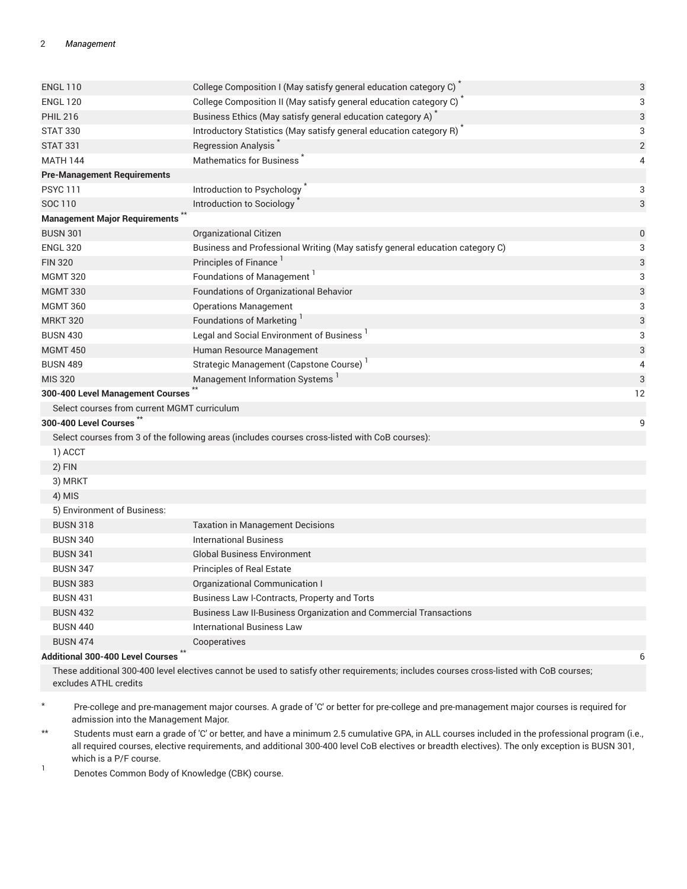#### 2 *Management*

| <b>ENGL 110</b>                             | College Composition I (May satisfy general education category C) <sup>*</sup>                  | $\sqrt{3}$     |
|---------------------------------------------|------------------------------------------------------------------------------------------------|----------------|
| <b>ENGL 120</b>                             | College Composition II (May satisfy general education category C)                              | 3              |
| <b>PHIL 216</b>                             | Business Ethics (May satisfy general education category A) <sup>*</sup>                        | $\sqrt{3}$     |
| <b>STAT 330</b>                             | Introductory Statistics (May satisfy general education category R)                             | 3              |
| <b>STAT 331</b>                             | Regression Analysis <sup>*</sup>                                                               | $\overline{2}$ |
| <b>MATH 144</b>                             | <b>Mathematics for Business</b>                                                                | $\overline{4}$ |
| <b>Pre-Management Requirements</b>          |                                                                                                |                |
| <b>PSYC 111</b>                             | Introduction to Psychology                                                                     | 3              |
| SOC 110                                     | Introduction to Sociology                                                                      | 3              |
| <b>Management Major Requirements</b>        |                                                                                                |                |
| <b>BUSN 301</b>                             | Organizational Citizen                                                                         | $\pmb{0}$      |
| <b>ENGL 320</b>                             | Business and Professional Writing (May satisfy general education category C)                   | 3              |
| <b>FIN 320</b>                              | Principles of Finance <sup>1</sup>                                                             | 3              |
| <b>MGMT 320</b>                             | Foundations of Management <sup>1</sup>                                                         | 3              |
| <b>MGMT 330</b>                             | Foundations of Organizational Behavior                                                         | 3              |
| <b>MGMT 360</b>                             | <b>Operations Management</b>                                                                   | 3              |
| <b>MRKT 320</b>                             | Foundations of Marketing <sup>1</sup>                                                          | 3              |
| <b>BUSN 430</b>                             | Legal and Social Environment of Business                                                       | 3              |
| <b>MGMT 450</b>                             | Human Resource Management                                                                      | 3              |
| <b>BUSN 489</b>                             | Strategic Management (Capstone Course) <sup>1</sup>                                            | $\overline{4}$ |
| <b>MIS 320</b>                              | Management Information Systems                                                                 | 3              |
| 300-400 Level Management Courses            |                                                                                                | 12             |
| Select courses from current MGMT curriculum |                                                                                                |                |
| 300-400 Level Courses                       |                                                                                                | 9              |
|                                             | Select courses from 3 of the following areas (includes courses cross-listed with CoB courses): |                |
| 1) ACCT                                     |                                                                                                |                |
| 2) FIN                                      |                                                                                                |                |
| 3) MRKT                                     |                                                                                                |                |
| 4) MIS                                      |                                                                                                |                |
| 5) Environment of Business:                 |                                                                                                |                |
| <b>BUSN 318</b>                             | <b>Taxation in Management Decisions</b>                                                        |                |
| <b>BUSN 340</b>                             | <b>International Business</b>                                                                  |                |
| <b>BUSN 341</b>                             | <b>Global Business Environment</b>                                                             |                |
| <b>BUSN 347</b>                             | <b>Principles of Real Estate</b>                                                               |                |
| <b>BUSN 383</b>                             | Organizational Communication I                                                                 |                |
| <b>BUSN 431</b>                             | Business Law I-Contracts, Property and Torts                                                   |                |
| <b>BUSN 432</b>                             | <b>Business Law II-Business Organization and Commercial Transactions</b>                       |                |
| <b>BUSN 440</b>                             | <b>International Business Law</b>                                                              |                |
| <b>BUSN 474</b>                             | Cooperatives                                                                                   |                |
| <b>Additional 300-400 Level Courses</b>     |                                                                                                | 6              |

These additional 300-400 level electives cannot be used to satisfy other requirements; includes courses cross-listed with CoB courses; excludes ATHL credits

- \* Pre-college and pre-management major courses. A grade of 'C' or better for pre-college and pre-management major courses is required for admission into the Management Major.
- \*\* Students must earn a grade of 'C' or better, and have a minimum 2.5 cumulative GPA, in ALL courses included in the professional program (i.e., all required courses, elective requirements, and additional 300-400 level CoB electives or breadth electives). The only exception is BUSN 301, which is a P/F course.
- 1 Denotes Common Body of Knowledge (CBK) course.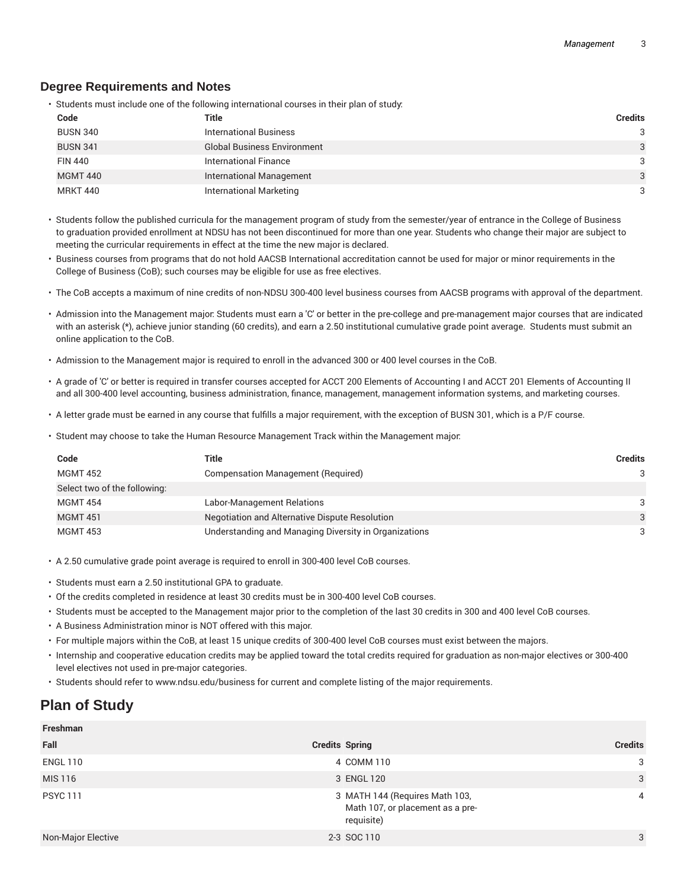#### **Degree Requirements and Notes**

• Students must include one of the following international courses in their plan of study:

| Code            | Title                              | <b>Credits</b> |
|-----------------|------------------------------------|----------------|
| <b>BUSN 340</b> | <b>International Business</b>      | 3              |
| <b>BUSN 341</b> | <b>Global Business Environment</b> | 3              |
| <b>FIN 440</b>  | International Finance              | 3              |
| <b>MGMT 440</b> | <b>International Management</b>    | 3              |
| <b>MRKT 440</b> | International Marketing            | 3              |

• Students follow the published curricula for the management program of study from the semester/year of entrance in the College of Business to graduation provided enrollment at NDSU has not been discontinued for more than one year. Students who change their major are subject to meeting the curricular requirements in effect at the time the new major is declared.

- Business courses from programs that do not hold AACSB International accreditation cannot be used for major or minor requirements in the College of Business (CoB); such courses may be eligible for use as free electives.
- The CoB accepts a maximum of nine credits of non-NDSU 300-400 level business courses from AACSB programs with approval of the department.
- Admission into the Management major: Students must earn a 'C' or better in the pre-college and pre-management major courses that are indicated with an asterisk (\*), achieve junior standing (60 credits), and earn a 2.50 institutional cumulative grade point average. Students must submit an online application to the CoB.
- Admission to the Management major is required to enroll in the advanced 300 or 400 level courses in the CoB.
- A grade of 'C' or better is required in transfer courses accepted for ACCT 200 Elements of Accounting I and ACCT 201 Elements of Accounting II and all 300-400 level accounting, business administration, finance, management, management information systems, and marketing courses.
- A letter grade must be earned in any course that fulfills a major requirement, with the exception of BUSN 301, which is a P/F course.
- Student may choose to take the Human Resource Management Track within the Management major:

| Code                         | Title                                                 | <b>Credits</b> |
|------------------------------|-------------------------------------------------------|----------------|
| <b>MGMT 452</b>              | Compensation Management (Required)                    | 3              |
| Select two of the following: |                                                       |                |
| <b>MGMT 454</b>              | Labor-Management Relations                            | 3              |
| <b>MGMT 451</b>              | Negotiation and Alternative Dispute Resolution        | 3              |
| <b>MGMT 453</b>              | Understanding and Managing Diversity in Organizations | 3              |

- A 2.50 cumulative grade point average is required to enroll in 300-400 level CoB courses.
- Students must earn a 2.50 institutional GPA to graduate.
- Of the credits completed in residence at least 30 credits must be in 300-400 level CoB courses.
- Students must be accepted to the Management major prior to the completion of the last 30 credits in 300 and 400 level CoB courses.
- A Business Administration minor is NOT offered with this major.
- For multiple majors within the CoB, at least 15 unique credits of 300-400 level CoB courses must exist between the majors.
- Internship and cooperative education credits may be applied toward the total credits required for graduation as non-major electives or 300-400 level electives not used in pre-major categories.
- Students should refer to www.ndsu.edu/business for current and complete listing of the major requirements.

## **Plan of Study**

**Freshman**

| Freshman                  |                                                                                  |                |
|---------------------------|----------------------------------------------------------------------------------|----------------|
| Fall                      | <b>Credits Spring</b>                                                            | <b>Credits</b> |
| <b>ENGL 110</b>           | 4 COMM 110                                                                       | 3              |
| MIS 116                   | 3 ENGL 120                                                                       | 3              |
| <b>PSYC 111</b>           | 3 MATH 144 (Requires Math 103,<br>Math 107, or placement as a pre-<br>requisite) | 4              |
| <b>Non-Major Elective</b> | 2-3 SOC 110                                                                      | 3              |